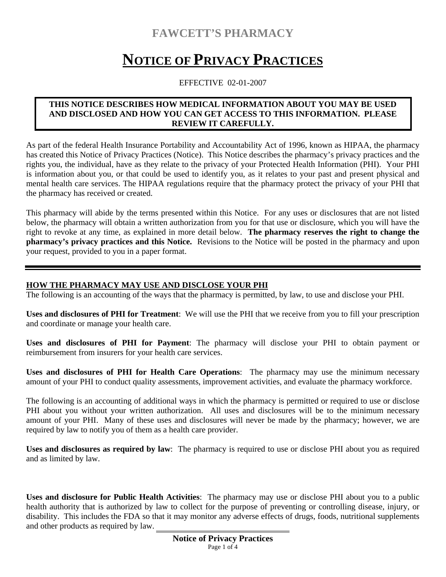# **FAWCETT'S PHARMACY**

# **NOTICE OF PRIVACY PRACTICES**

#### EFFECTIVE 02-01-2007

#### **THIS NOTICE DESCRIBES HOW MEDICAL INFORMATION ABOUT YOU MAY BE USED AND DISCLOSED AND HOW YOU CAN GET ACCESS TO THIS INFORMATION. PLEASE REVIEW IT CAREFULLY.**

As part of the federal Health Insurance Portability and Accountability Act of 1996, known as HIPAA, the pharmacy has created this Notice of Privacy Practices (Notice). This Notice describes the pharmacy's privacy practices and the rights you, the individual, have as they relate to the privacy of your Protected Health Information (PHI). Your PHI is information about you, or that could be used to identify you, as it relates to your past and present physical and mental health care services. The HIPAA regulations require that the pharmacy protect the privacy of your PHI that the pharmacy has received or created.

This pharmacy will abide by the terms presented within this Notice. For any uses or disclosures that are not listed below, the pharmacy will obtain a written authorization from you for that use or disclosure, which you will have the right to revoke at any time, as explained in more detail below. **The pharmacy reserves the right to change the pharmacy's privacy practices and this Notice.** Revisions to the Notice will be posted in the pharmacy and upon your request, provided to you in a paper format.

#### **HOW THE PHARMACY MAY USE AND DISCLOSE YOUR PHI**

The following is an accounting of the ways that the pharmacy is permitted, by law, to use and disclose your PHI.

**Uses and disclosures of PHI for Treatment**: We will use the PHI that we receive from you to fill your prescription and coordinate or manage your health care.

**Uses and disclosures of PHI for Payment**: The pharmacy will disclose your PHI to obtain payment or reimbursement from insurers for your health care services.

**Uses and disclosures of PHI for Health Care Operations**: The pharmacy may use the minimum necessary amount of your PHI to conduct quality assessments, improvement activities, and evaluate the pharmacy workforce.

The following is an accounting of additional ways in which the pharmacy is permitted or required to use or disclose PHI about you without your written authorization. All uses and disclosures will be to the minimum necessary amount of your PHI. Many of these uses and disclosures will never be made by the pharmacy; however, we are required by law to notify you of them as a health care provider.

**Uses and disclosures as required by law**: The pharmacy is required to use or disclose PHI about you as required and as limited by law.

**Uses and disclosure for Public Health Activities**: The pharmacy may use or disclose PHI about you to a public health authority that is authorized by law to collect for the purpose of preventing or controlling disease, injury, or disability. This includes the FDA so that it may monitor any adverse effects of drugs, foods, nutritional supplements and other products as required by law.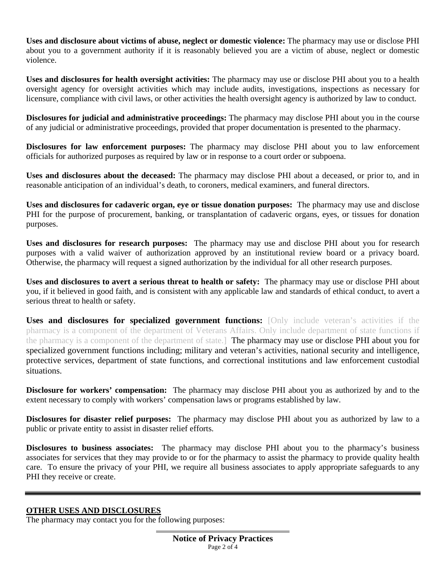**Uses and disclosure about victims of abuse, neglect or domestic violence:** The pharmacy may use or disclose PHI about you to a government authority if it is reasonably believed you are a victim of abuse, neglect or domestic violence.

**Uses and disclosures for health oversight activities:** The pharmacy may use or disclose PHI about you to a health oversight agency for oversight activities which may include audits, investigations, inspections as necessary for licensure, compliance with civil laws, or other activities the health oversight agency is authorized by law to conduct.

**Disclosures for judicial and administrative proceedings:** The pharmacy may disclose PHI about you in the course of any judicial or administrative proceedings, provided that proper documentation is presented to the pharmacy.

**Disclosures for law enforcement purposes:** The pharmacy may disclose PHI about you to law enforcement officials for authorized purposes as required by law or in response to a court order or subpoena.

**Uses and disclosures about the deceased:** The pharmacy may disclose PHI about a deceased, or prior to, and in reasonable anticipation of an individual's death, to coroners, medical examiners, and funeral directors.

**Uses and disclosures for cadaveric organ, eye or tissue donation purposes:** The pharmacy may use and disclose PHI for the purpose of procurement, banking, or transplantation of cadaveric organs, eyes, or tissues for donation purposes.

**Uses and disclosures for research purposes:** The pharmacy may use and disclose PHI about you for research purposes with a valid waiver of authorization approved by an institutional review board or a privacy board. Otherwise, the pharmacy will request a signed authorization by the individual for all other research purposes.

**Uses and disclosures to avert a serious threat to health or safety:** The pharmacy may use or disclose PHI about you, if it believed in good faith, and is consistent with any applicable law and standards of ethical conduct, to avert a serious threat to health or safety.

**Uses and disclosures for specialized government functions:** [Only include veteran's activities if the pharmacy is a component of the department of Veterans Affairs. Only include department of state functions if the pharmacy is a component of the department of state.] The pharmacy may use or disclose PHI about you for specialized government functions including; military and veteran's activities, national security and intelligence, protective services, department of state functions, and correctional institutions and law enforcement custodial situations.

**Disclosure for workers' compensation:** The pharmacy may disclose PHI about you as authorized by and to the extent necessary to comply with workers' compensation laws or programs established by law.

**Disclosures for disaster relief purposes:** The pharmacy may disclose PHI about you as authorized by law to a public or private entity to assist in disaster relief efforts.

**Disclosures to business associates:** The pharmacy may disclose PHI about you to the pharmacy's business associates for services that they may provide to or for the pharmacy to assist the pharmacy to provide quality health care. To ensure the privacy of your PHI, we require all business associates to apply appropriate safeguards to any PHI they receive or create.

#### **OTHER USES AND DISCLOSURES**

The pharmacy may contact you for the following purposes: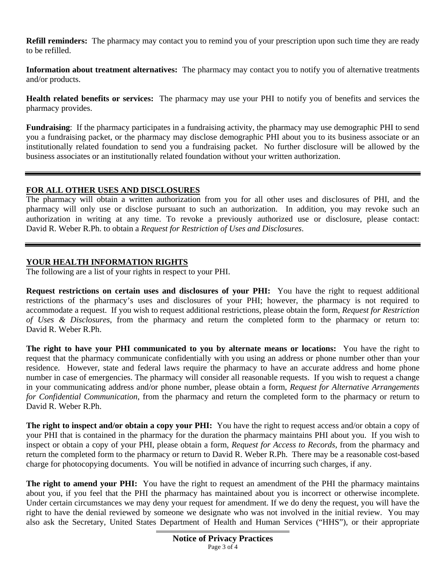**Refill reminders:** The pharmacy may contact you to remind you of your prescription upon such time they are ready to be refilled.

**Information about treatment alternatives:** The pharmacy may contact you to notify you of alternative treatments and/or products.

**Health related benefits or services:** The pharmacy may use your PHI to notify you of benefits and services the pharmacy provides.

**Fundraising**: If the pharmacy participates in a fundraising activity, the pharmacy may use demographic PHI to send you a fundraising packet, or the pharmacy may disclose demographic PHI about you to its business associate or an institutionally related foundation to send you a fundraising packet. No further disclosure will be allowed by the business associates or an institutionally related foundation without your written authorization.

#### **FOR ALL OTHER USES AND DISCLOSURES**

The pharmacy will obtain a written authorization from you for all other uses and disclosures of PHI, and the pharmacy will only use or disclose pursuant to such an authorization. In addition, you may revoke such an authorization in writing at any time. To revoke a previously authorized use or disclosure, please contact: David R. Weber R.Ph. to obtain a *Request for Restriction of Uses and Disclosures*.

#### **YOUR HEALTH INFORMATION RIGHTS**

The following are a list of your rights in respect to your PHI.

**Request restrictions on certain uses and disclosures of your PHI:** You have the right to request additional restrictions of the pharmacy's uses and disclosures of your PHI; however, the pharmacy is not required to accommodate a request. If you wish to request additional restrictions, please obtain the form, *Request for Restriction of Uses & Disclosures*, from the pharmacy and return the completed form to the pharmacy or return to: David R. Weber R.Ph.

**The right to have your PHI communicated to you by alternate means or locations:** You have the right to request that the pharmacy communicate confidentially with you using an address or phone number other than your residence. However, state and federal laws require the pharmacy to have an accurate address and home phone number in case of emergencies. The pharmacy will consider all reasonable requests. If you wish to request a change in your communicating address and/or phone number, please obtain a form, *Request for Alternative Arrangements for Confidential Communication*, from the pharmacy and return the completed form to the pharmacy or return to David R. Weber R.Ph.

**The right to inspect and/or obtain a copy your PHI:** You have the right to request access and/or obtain a copy of your PHI that is contained in the pharmacy for the duration the pharmacy maintains PHI about you. If you wish to inspect or obtain a copy of your PHI, please obtain a form, *Request for Access to Records*, from the pharmacy and return the completed form to the pharmacy or return to David R. Weber R.Ph. There may be a reasonable cost-based charge for photocopying documents. You will be notified in advance of incurring such charges, if any.

**The right to amend your PHI:** You have the right to request an amendment of the PHI the pharmacy maintains about you, if you feel that the PHI the pharmacy has maintained about you is incorrect or otherwise incomplete. Under certain circumstances we may deny your request for amendment. If we do deny the request, you will have the right to have the denial reviewed by someone we designate who was not involved in the initial review. You may also ask the Secretary, United States Department of Health and Human Services ("HHS"), or their appropriate